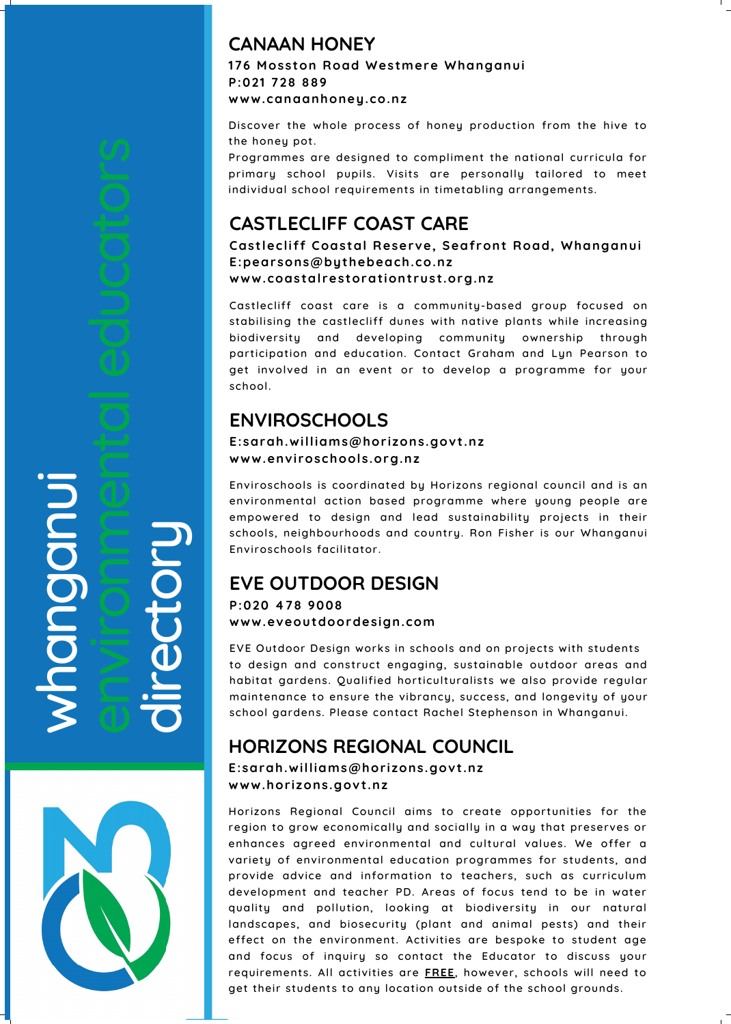#### $\boldsymbol{\gtrless}$  $\overline{\phantom{a}}$ **D** n $\bigcirc$ **D d i** is a set of  $\blacksquare$  $\leftarrow$  $\mathbf 0$  $\overline{\mathbf{C}}$ o $\leftarrow$  $\mathbf{D}$



# **ENVIROSCHOOLS**

#### **E:sarah.williams@hor izons.govt .nz www.envi roschools.org.nz**

Enviroschools is coordinated by Horizons regional council and is an environmental action based programme where young people are empowered to design and lead sustainability projects in their schools, neighbourhoods and country. Ron Fisher is our Whanganui Enviroschools facilitator.

## **CASTLECLIFF COAST CARE**

**Cast lecli f f Coastal Reserve, Seaf ront Road, Whanganui E:pearsons@bythebeach.co.nz www.coastal restorat iont rust .org.nz**

Castlecliff coast care is a community-based group focused on stabilising the castlecliff dunes with native plants while increasing biodiversity and developing community ownership through participation and education. Contact Graham and Lyn Pearson to get involved in an event or to develop a programme for your school.

## **CANAAN HONEY 176 Mosston Road Westmere Whanganui P:021 728 889 www.canaanhoney.co.nz**

Discover the whole process of honey production from the hive to the honey pot.

Programmes are designed to compliment the national curricula for primary school pupils. Visits are personally tailored to meet individual school requirements in timetabling arrangements.

# **EVE OUTDOOR DESIGN**

## **P:020 478 9008 www.eveoutdoordesign.com**

EVE Outdoor Design works in schools and on projects with students to design and construct engaging, sustainable outdoor areas and habitat gardens. Qualified horticulturalists we also provide regular maintenance to ensure the vibrancy, success, and longevity of your school gardens. Please contact Rachel Stephenson in Whanganui.

# **HORIZONS REGIONAL COUNCIL**

## **E:sarah.williams@hor izons.govt .nz www.hor izons.govt .nz**

Horizons Regional Council aims to create opportunities for the region to grow economically and socially in a way that preserves or enhances agreed environmental and cultural values. We offer a variety of environmental education programmes for students, and provide advice and information to teachers, such as curriculum development and teacher PD. Areas of focus tend to be in water quality and pollution, looking at biodiversity in our natural landscapes, and biosecurity (plant and animal pests) and their effect on the environment. Activities are bespoke to student age and focus of inquiry so contact the Educator to discuss your requirements. All activities are **FREE**, however, schools will need to get their students to any location outside of the school grounds.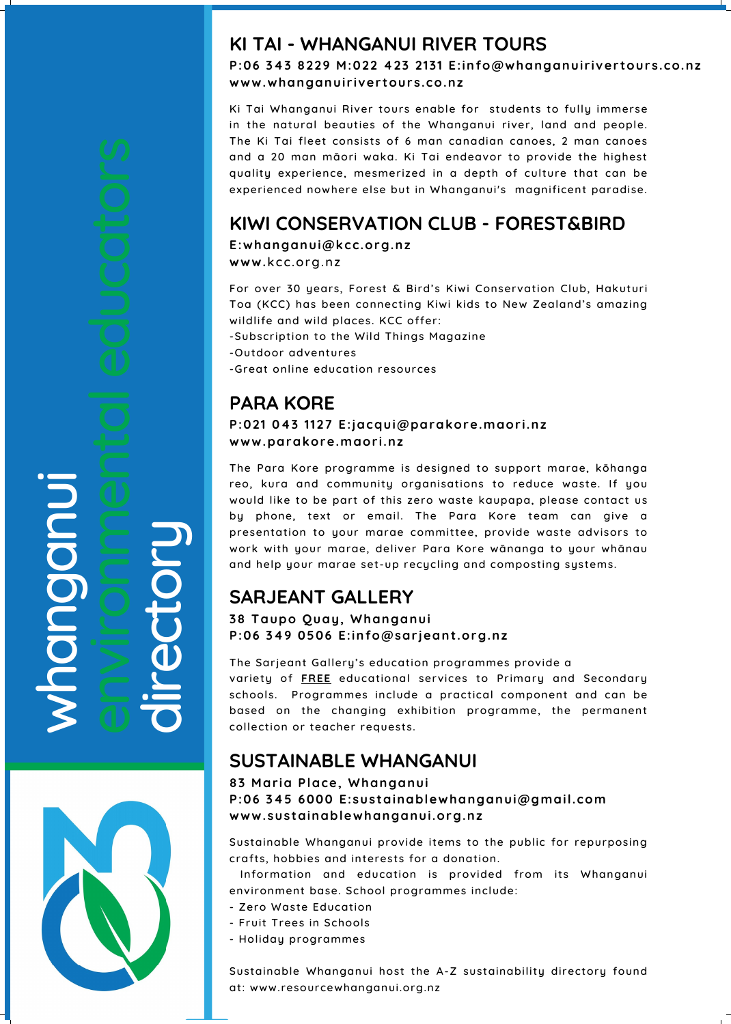#### $\boldsymbol{\gtrless}$  $\overline{\phantom{a}}$ **D** n $\bigcirc$ **D d i** is a set of  $\blacksquare$  $\leftarrow$  $\mathbf 0$  $\overline{\mathbf{C}}$ o $\leftarrow$  $\mathbf{D}$



# **SARJEANT GALLERY**

## **38 Taupo Quay, Whanganui P:06 349 0506 E:info@sar jeant .org.nz**

The Sarjeant Gallery's education programmes provide a variety of **FREE** educational services to Primary and Secondary schools. Programmes include a practical component and can be based on the changing exhibition programme, the permanent collection or teacher requests.

# **KIWI CONSERVATION CLUB - FOREST&BIRD**

**E:whanganui@kcc.org.nz www.**kcc.org.nz

For over 30 years, Forest & Bird's Kiwi Conservation Club, Hakuturi Toa (KCC) has been connecting Kiwi kids to New Zealand's amazing wildlife and wild places. KCC offer:

- -Subscription to the Wild Things Magazine
- -Outdoor adventures
- -Great online education resources

## **KI TAI - WHANGANUI RIVER TOURS**

**P:06 343 8229 M:022 423 2131 E:info@whanganui r iver tours.co.nz www.whanganui r iver tours.co.nz**

Ki Tai Whanganui River tours enable for students to fully immerse in the natural beauties of the Whanganui river, land and people. The Ki Tai fleet consists of 6 man canadian canoes, 2 man canoes and a 20 man māori waka. Ki Tai endeavor to provide the highest quality experience, mesmerized in a depth of culture that can be experienced nowhere else but in Whanganui's magnificent paradise.

## **PARA KORE**

**P:021 043 1127 E:jacqui@parakore.maor i.nz www.parakore.maor i.nz**

The Para Kore programme is designed to support marae, kōhanga reo, kura and community organisations to reduce waste. If you would like to be part of this zero waste kaupapa, please contact us by phone, text or email. The Para Kore team can give a presentation to your marae committee, provide waste advisors to work with your marae, deliver Para Kore wānanga to your whānau and help your marae set-up recycling and composting systems.

# **SUSTAINABLE WHANGANUI**

## **83 Mar ia Place, Whanganui P:06 345 6000 E:sustainablewhanganui@gmail.com www.sustainablewhanganui.org.nz**

Sustainable Whanganui provide items to the public for repurposing crafts, hobbies and interests for a donation.

Information and education is provided from its Whanganui environment base. School programmes include:

- Zero Waste Education
- Fruit Trees in Schools
- Holiday programmes

Sustainable Whanganui host the A-Z sustainability directory found at: www.resourcewhanganui.org.nz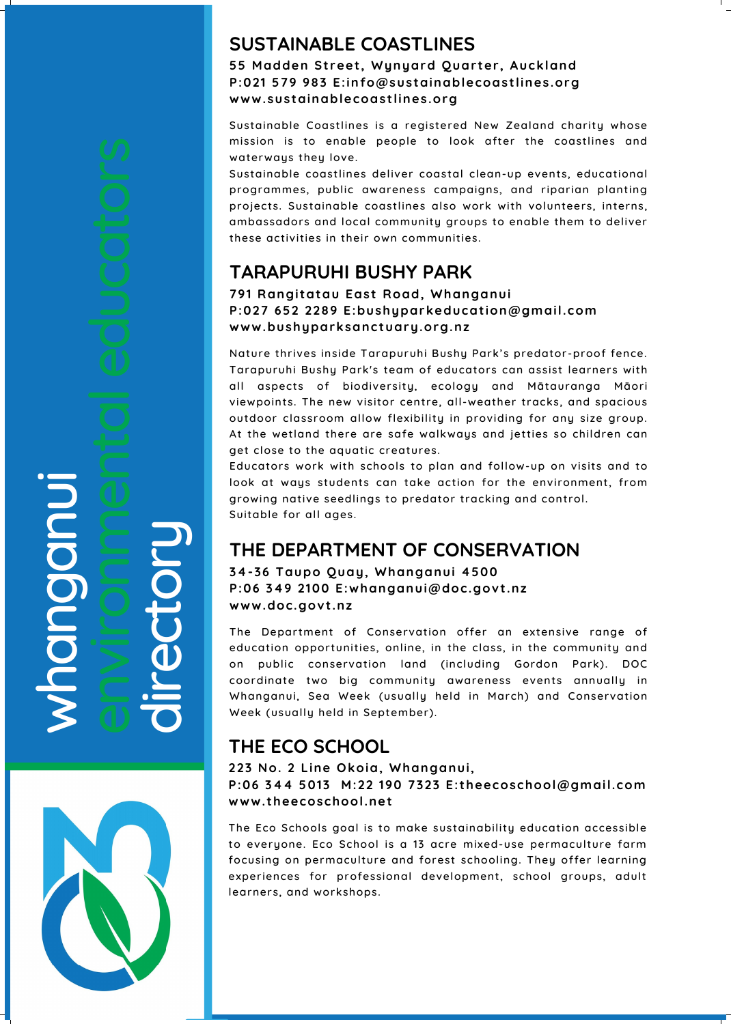#### w $\overline{\phantom{a}}$ **D** n $\bigcirc$ **D d i** is a set of  $\blacksquare$  $\leftarrow$  $\mathbf 0$  $\overline{\textbf{C}}$ o $\leftarrow$  $\mathbf{D}$

# **THE ECO SCHOOL**

## **223 No. 2 Line Okoia, Whanganui, P:06 344 5013 M:22 190 7323 E: theecoschool@gmail.com www. theecoschool.net**

The Eco Schools goal is to make sustainability education accessible to everyone. Eco School is a 13 acre mixed-use permaculture farm focusing on permaculture and forest schooling. They offer learning experiences for professional development, school groups, adult learners, and workshops.

# **THE DEPARTMENT OF CONSERVATION**

**34-36 Taupo Quay, Whanganui 4500 P:06 349 2100 E:whanganui@doc.govt .nz www.doc.govt .nz**

The Department of Conservation offer an extensive range of education opportunities, online, in the class, in the community and on public conservation land (including Gordon Park). DOC coordinate two big community awareness events annually in Whanganui, Sea Week (usually held in March) and Conservation Week (usually held in September).

## **SUSTAINABLE COASTLINES**

**55 Madden St reet , Wynyard Quar ter , Auckland P:021 579 983 E:info@sustainablecoast lines.org www.sustainablecoast lines.org**

Sustainable Coastlines is a registered New Zealand charity whose mission is to enable people to look after the coastlines and waterways they love.

Sustainable coastlines deliver coastal clean-up events, educational programmes, public awareness campaigns, and riparian planting projects. Sustainable coastlines also work with volunteers, interns, ambassadors and local community groups to enable them to deliver these activities in their own communities.

## **TARAPURUHI BUSHY PARK**

**791 Rangi tatau East Road, Whanganui P:027 652 2289 E:bushyparkeducat ion@gmail.com www.bushyparksanctuary.org.nz**

Nature thrives inside Tarapuruhi Bushy Park's predator-proof fence. Tarapuruhi Bushy Park's team of educators can assist learners with all aspects of biodiversity, ecology and Mātauranga Māori viewpoints. The new visitor centre, all-weather tracks, and spacious outdoor classroom allow flexibility in providing for any size group. At the wetland there are safe walkways and jetties so children can get close to the aquatic creatures.

Educators work with schools to plan and follow-up on visits and to look at ways students can take action for the environment, from growing native seedlings to predator tracking and control. Suitable for all ages.